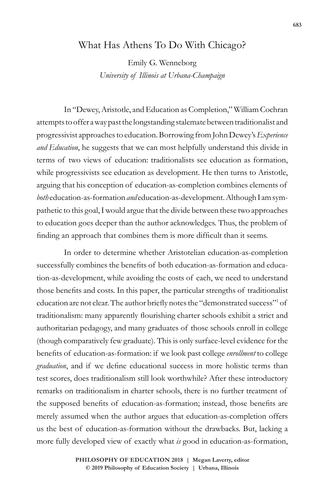## What Has Athens To Do With Chicago?

Emily G. Wenneborg *University of Illinois at Urbana-Champaign*

In "Dewey, Aristotle, and Education as Completion," William Cochran attempts to offer a way past the longstanding stalemate between traditionalist and progressivist approaches to education. Borrowing from John Dewey's *Experience and Education*, he suggests that we can most helpfully understand this divide in terms of two views of education: traditionalists see education as formation, while progressivists see education as development. He then turns to Aristotle, arguing that his conception of education-as-completion combines elements of *both* education-as-formation *and* education-as-development. Although I am sympathetic to this goal, I would argue that the divide between these two approaches to education goes deeper than the author acknowledges. Thus, the problem of finding an approach that combines them is more difficult than it seems.

In order to determine whether Aristotelian education-as-completion successfully combines the benefits of both education-as-formation and education-as-development, while avoiding the costs of each, we need to understand those benefits and costs. In this paper, the particular strengths of traditionalist education are not clear. The author briefly notes the "demonstrated success"<sup>1</sup> of traditionalism: many apparently flourishing charter schools exhibit a strict and authoritarian pedagogy, and many graduates of those schools enroll in college (though comparatively few graduate). This is only surface-level evidence for the benefits of education-as-formation: if we look past college *enrollment* to college *graduation*, and if we define educational success in more holistic terms than test scores, does traditionalism still look worthwhile? After these introductory remarks on traditionalism in charter schools, there is no further treatment of the supposed benefits of education-as-formation; instead, those benefits are merely assumed when the author argues that education-as-completion offers us the best of education-as-formation without the drawbacks. But, lacking a more fully developed view of exactly what *is* good in education-as-formation,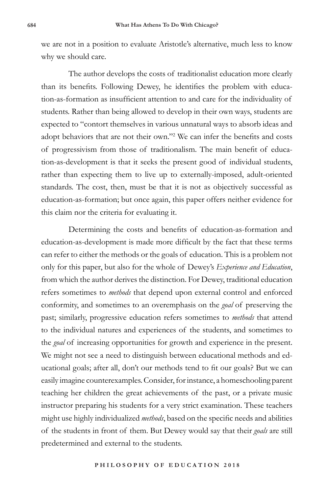we are not in a position to evaluate Aristotle's alternative, much less to know why we should care.

The author develops the costs of traditionalist education more clearly than its benefits. Following Dewey, he identifies the problem with education-as-formation as insufficient attention to and care for the individuality of students. Rather than being allowed to develop in their own ways, students are expected to "contort themselves in various unnatural ways to absorb ideas and adopt behaviors that are not their own."2 We can infer the benefits and costs of progressivism from those of traditionalism. The main benefit of education-as-development is that it seeks the present good of individual students, rather than expecting them to live up to externally-imposed, adult-oriented standards. The cost, then, must be that it is not as objectively successful as education-as-formation; but once again, this paper offers neither evidence for this claim nor the criteria for evaluating it.

Determining the costs and benefits of education-as-formation and education-as-development is made more difficult by the fact that these terms can refer to either the methods or the goals of education. This is a problem not only for this paper, but also for the whole of Dewey's *Experience and Education*, from which the author derives the distinction. For Dewey, traditional education refers sometimes to *methods* that depend upon external control and enforced conformity, and sometimes to an overemphasis on the *goal* of preserving the past; similarly, progressive education refers sometimes to *methods* that attend to the individual natures and experiences of the students, and sometimes to the *goal* of increasing opportunities for growth and experience in the present. We might not see a need to distinguish between educational methods and educational goals; after all, don't our methods tend to fit our goals? But we can easily imagine counterexamples. Consider, for instance, a homeschooling parent teaching her children the great achievements of the past, or a private music instructor preparing his students for a very strict examination. These teachers might use highly individualized *methods*, based on the specific needs and abilities of the students in front of them. But Dewey would say that their *goals* are still predetermined and external to the students.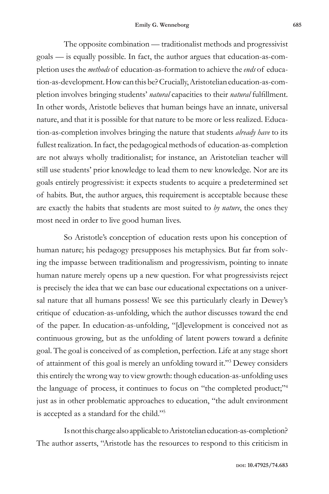The opposite combination — traditionalist methods and progressivist goals — is equally possible. In fact, the author argues that education-as-completion uses the *methods* of education-as-formation to achieve the *ends* of education-as-development. How can this be? Crucially, Aristotelian education-as-completion involves bringing students' *natural* capacities to their *natural* fulfillment. In other words, Aristotle believes that human beings have an innate, universal nature, and that it is possible for that nature to be more or less realized. Education-as-completion involves bringing the nature that students *already have* to its fullest realization. In fact, the pedagogical methods of education-as-completion are not always wholly traditionalist; for instance, an Aristotelian teacher will still use students' prior knowledge to lead them to new knowledge. Nor are its goals entirely progressivist: it expects students to acquire a predetermined set of habits. But, the author argues, this requirement is acceptable because these are exactly the habits that students are most suited to *by nature*, the ones they most need in order to live good human lives.

So Aristotle's conception of education rests upon his conception of human nature; his pedagogy presupposes his metaphysics. But far from solving the impasse between traditionalism and progressivism, pointing to innate human nature merely opens up a new question. For what progressivists reject is precisely the idea that we can base our educational expectations on a universal nature that all humans possess! We see this particularly clearly in Dewey's critique of education-as-unfolding, which the author discusses toward the end of the paper. In education-as-unfolding, "[d]evelopment is conceived not as continuous growing, but as the unfolding of latent powers toward a definite goal. The goal is conceived of as completion, perfection. Life at any stage short of attainment of this goal is merely an unfolding toward it."3 Dewey considers this entirely the wrong way to view growth: though education-as-unfolding uses the language of process, it continues to focus on "the completed product;"<sup>4</sup> just as in other problematic approaches to education, "the adult environment is accepted as a standard for the child."5

Is not this charge also applicable to Aristotelian education-as-completion? The author asserts, "Aristotle has the resources to respond to this criticism in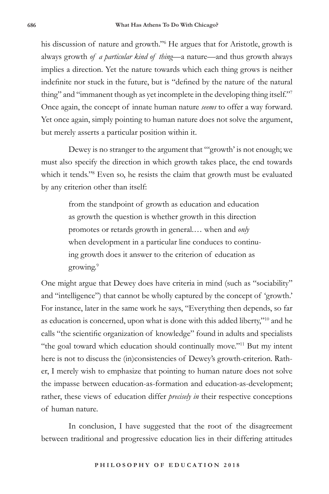his discussion of nature and growth."6 He argues that for Aristotle, growth is always growth *of a particular kind of thing*—a nature—and thus growth always implies a direction. Yet the nature towards which each thing grows is neither indefinite nor stuck in the future, but is "defined by the nature of the natural thing" and "immanent though as yet incomplete in the developing thing itself."7 Once again, the concept of innate human nature *seems* to offer a way forward. Yet once again, simply pointing to human nature does not solve the argument, but merely asserts a particular position within it.

Dewey is no stranger to the argument that "'growth' is not enough; we must also specify the direction in which growth takes place, the end towards which it tends."8 Even so, he resists the claim that growth must be evaluated by any criterion other than itself:

> from the standpoint of growth as education and education as growth the question is whether growth in this direction promotes or retards growth in general.… when and *only* when development in a particular line conduces to continuing growth does it answer to the criterion of education as growing.9

One might argue that Dewey does have criteria in mind (such as "sociability" and "intelligence") that cannot be wholly captured by the concept of 'growth.' For instance, later in the same work he says, "Everything then depends, so far as education is concerned, upon what is done with this added liberty,"10 and he calls "the scientific organization of knowledge" found in adults and specialists "the goal toward which education should continually move."11 But my intent here is not to discuss the (in)consistencies of Dewey's growth-criterion. Rather, I merely wish to emphasize that pointing to human nature does not solve the impasse between education-as-formation and education-as-development; rather, these views of education differ *precisely in* their respective conceptions of human nature.

In conclusion, I have suggested that the root of the disagreement between traditional and progressive education lies in their differing attitudes